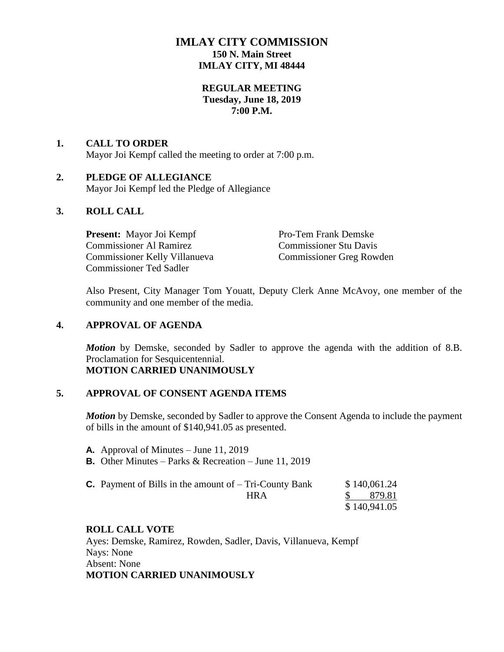## **IMLAY CITY COMMISSION 150 N. Main Street IMLAY CITY, MI 48444**

### **REGULAR MEETING Tuesday, June 18, 2019 7:00 P.M.**

# **1. CALL TO ORDER**

Mayor Joi Kempf called the meeting to order at 7:00 p.m.

### **2. PLEDGE OF ALLEGIANCE**

Mayor Joi Kempf led the Pledge of Allegiance

### **3. ROLL CALL**

**Present:** Mayor Joi Kempf Pro-Tem Frank Demske Commissioner Al Ramirez Commissioner Stu Davis Commissioner Kelly Villanueva Commissioner Greg Rowden Commissioner Ted Sadler

Also Present, City Manager Tom Youatt, Deputy Clerk Anne McAvoy, one member of the community and one member of the media.

### **4. APPROVAL OF AGENDA**

*Motion* by Demske, seconded by Sadler to approve the agenda with the addition of 8.B. Proclamation for Sesquicentennial. **MOTION CARRIED UNANIMOUSLY**

### **5. APPROVAL OF CONSENT AGENDA ITEMS**

*Motion* by Demske, seconded by Sadler to approve the Consent Agenda to include the payment of bills in the amount of \$140,941.05 as presented.

- **A.** Approval of Minutes June 11, 2019
- **B.** Other Minutes Parks & Recreation June 11, 2019

| <b>C.</b> Payment of Bills in the amount of $-$ Tri-County Bank | \$140,061.24 |
|-----------------------------------------------------------------|--------------|
| HR A                                                            | \$879.81     |
|                                                                 | \$140,941.05 |

### **ROLL CALL VOTE**

Ayes: Demske, Ramirez, Rowden, Sadler, Davis, Villanueva, Kempf Nays: None Absent: None **MOTION CARRIED UNANIMOUSLY**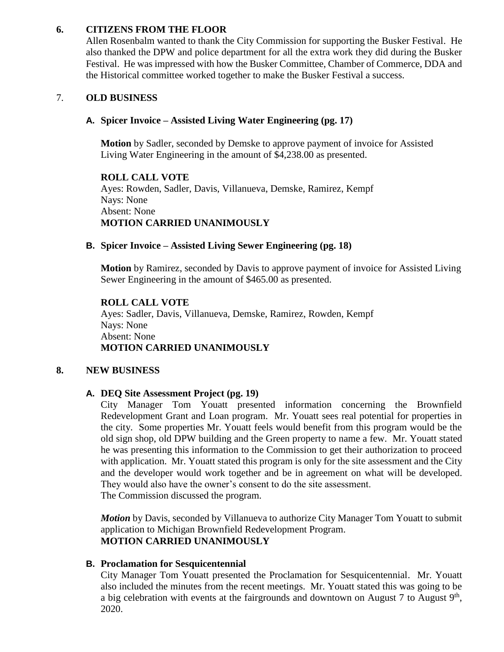### **6. CITIZENS FROM THE FLOOR**

Allen Rosenbalm wanted to thank the City Commission for supporting the Busker Festival. He also thanked the DPW and police department for all the extra work they did during the Busker Festival. He was impressed with how the Busker Committee, Chamber of Commerce, DDA and the Historical committee worked together to make the Busker Festival a success.

### 7. **OLD BUSINESS**

### **A. Spicer Invoice – Assisted Living Water Engineering (pg. 17)**

**Motion** by Sadler, seconded by Demske to approve payment of invoice for Assisted Living Water Engineering in the amount of \$4,238.00 as presented.

**ROLL CALL VOTE** Ayes: Rowden, Sadler, Davis, Villanueva, Demske, Ramirez, Kempf Nays: None Absent: None **MOTION CARRIED UNANIMOUSLY**

### **B. Spicer Invoice – Assisted Living Sewer Engineering (pg. 18)**

**Motion** by Ramirez, seconded by Davis to approve payment of invoice for Assisted Living Sewer Engineering in the amount of \$465.00 as presented.

#### **ROLL CALL VOTE**

Ayes: Sadler, Davis, Villanueva, Demske, Ramirez, Rowden, Kempf Nays: None Absent: None **MOTION CARRIED UNANIMOUSLY**

### **8. NEW BUSINESS**

### **A. DEQ Site Assessment Project (pg. 19)**

City Manager Tom Youatt presented information concerning the Brownfield Redevelopment Grant and Loan program. Mr. Youatt sees real potential for properties in the city. Some properties Mr. Youatt feels would benefit from this program would be the old sign shop, old DPW building and the Green property to name a few. Mr. Youatt stated he was presenting this information to the Commission to get their authorization to proceed with application. Mr. Youatt stated this program is only for the site assessment and the City and the developer would work together and be in agreement on what will be developed. They would also have the owner's consent to do the site assessment. The Commission discussed the program.

*Motion* by Davis, seconded by Villanueva to authorize City Manager Tom Youatt to submit application to Michigan Brownfield Redevelopment Program. **MOTION CARRIED UNANIMOUSLY**

### **B. Proclamation for Sesquicentennial**

City Manager Tom Youatt presented the Proclamation for Sesquicentennial. Mr. Youatt also included the minutes from the recent meetings. Mr. Youatt stated this was going to be a big celebration with events at the fairgrounds and downtown on August 7 to August  $9<sup>th</sup>$ , 2020.